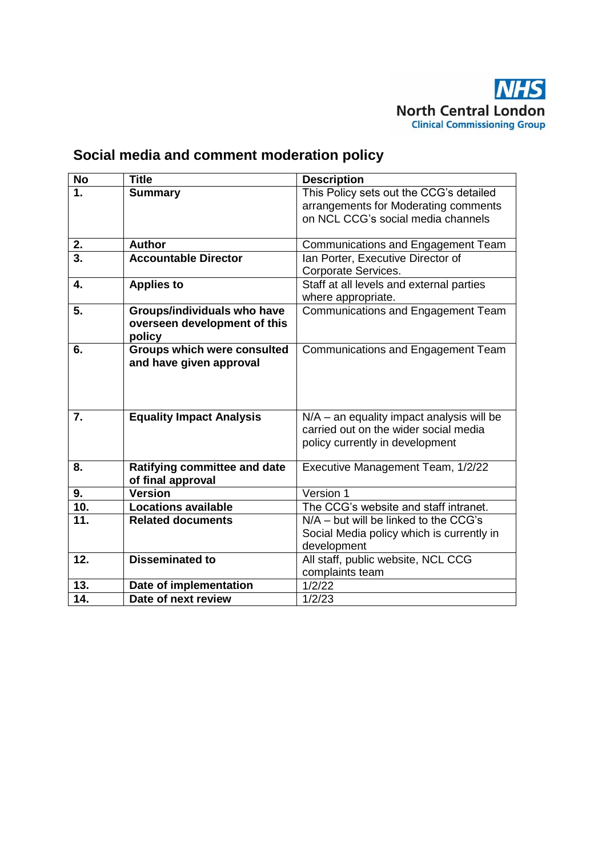

# **Social media and comment moderation policy**

| <b>No</b>        | <b>Title</b>                        | <b>Description</b>                                                                 |
|------------------|-------------------------------------|------------------------------------------------------------------------------------|
| 1.               | <b>Summary</b>                      | This Policy sets out the CCG's detailed                                            |
|                  |                                     | arrangements for Moderating comments                                               |
|                  |                                     | on NCL CCG's social media channels                                                 |
|                  |                                     |                                                                                    |
| 2.               | <b>Author</b>                       | Communications and Engagement Team                                                 |
| 3.               | <b>Accountable Director</b>         | Ian Porter, Executive Director of                                                  |
|                  |                                     | Corporate Services.                                                                |
| 4.               | <b>Applies to</b>                   | Staff at all levels and external parties                                           |
|                  |                                     | where appropriate.                                                                 |
| 5.               | Groups/individuals who have         | <b>Communications and Engagement Team</b>                                          |
|                  | overseen development of this        |                                                                                    |
|                  | policy                              |                                                                                    |
| 6.               | <b>Groups which were consulted</b>  | <b>Communications and Engagement Team</b>                                          |
|                  | and have given approval             |                                                                                    |
|                  |                                     |                                                                                    |
|                  |                                     |                                                                                    |
| $\overline{7}$ . |                                     |                                                                                    |
|                  | <b>Equality Impact Analysis</b>     | N/A - an equality impact analysis will be<br>carried out on the wider social media |
|                  |                                     | policy currently in development                                                    |
|                  |                                     |                                                                                    |
| 8.               | <b>Ratifying committee and date</b> | Executive Management Team, 1/2/22                                                  |
|                  | of final approval                   |                                                                                    |
| 9.               | <b>Version</b>                      | Version 1                                                                          |
| 10.              | <b>Locations available</b>          | The CCG's website and staff intranet.                                              |
| 11.              | <b>Related documents</b>            | $N/A -$ but will be linked to the CCG's                                            |
|                  |                                     | Social Media policy which is currently in                                          |
|                  |                                     | development                                                                        |
| 12.              | <b>Disseminated to</b>              | All staff, public website, NCL CCG                                                 |
|                  |                                     | complaints team                                                                    |
| 13.              | Date of implementation              | 1/2/22                                                                             |
| 14.              | Date of next review                 | 1/2/23                                                                             |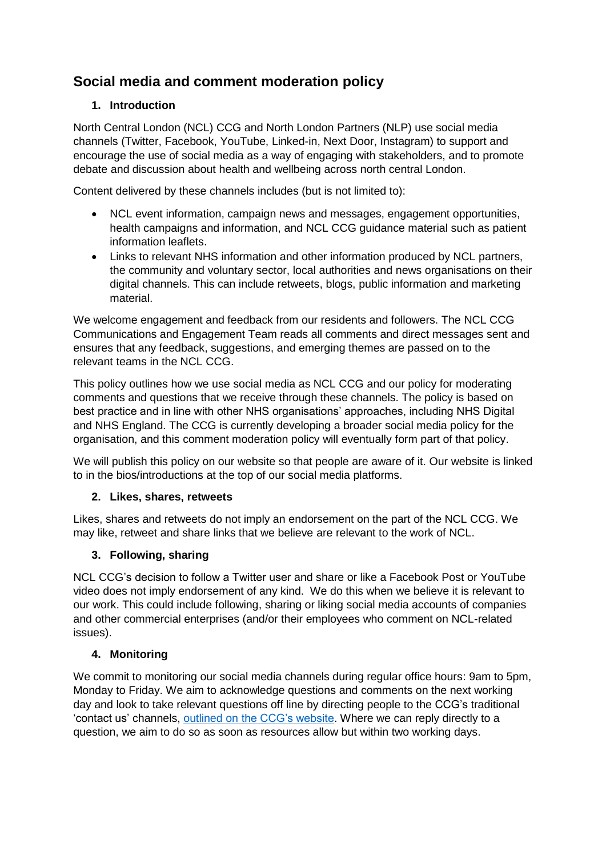# **Social media and comment moderation policy**

## **1. Introduction**

North Central London (NCL) CCG and North London Partners (NLP) use social media channels (Twitter, Facebook, YouTube, Linked-in, Next Door, Instagram) to support and encourage the use of social media as a way of engaging with stakeholders, and to promote debate and discussion about health and wellbeing across north central London.

Content delivered by these channels includes (but is not limited to):

- NCL event information, campaign news and messages, engagement opportunities, health campaigns and information, and NCL CCG guidance material such as patient information leaflets.
- Links to relevant NHS information and other information produced by NCL partners, the community and voluntary sector, local authorities and news organisations on their digital channels. This can include retweets, blogs, public information and marketing material.

We welcome engagement and feedback from our residents and followers. The NCL CCG Communications and Engagement Team reads all comments and direct messages sent and ensures that any feedback, suggestions, and emerging themes are passed on to the relevant teams in the NCL CCG.

This policy outlines how we use social media as NCL CCG and our policy for moderating comments and questions that we receive through these channels. The policy is based on best practice and in line with other NHS organisations' approaches, including NHS Digital and NHS England. The CCG is currently developing a broader social media policy for the organisation, and this comment moderation policy will eventually form part of that policy.

We will publish this policy on our website so that people are aware of it. Our website is linked to in the bios/introductions at the top of our social media platforms.

#### **2. Likes, shares, retweets**

Likes, shares and retweets do not imply an endorsement on the part of the NCL CCG. We may like, retweet and share links that we believe are relevant to the work of NCL.

#### **3. Following, sharing**

NCL CCG's decision to follow a Twitter user and share or like a Facebook Post or YouTube video does not imply endorsement of any kind. We do this when we believe it is relevant to our work. This could include following, sharing or liking social media accounts of companies and other commercial enterprises (and/or their employees who comment on NCL-related issues).

#### **4. Monitoring**

We commit to monitoring our social media channels during regular office hours: 9am to 5pm, Monday to Friday. We aim to acknowledge questions and comments on the next working day and look to take relevant questions off line by directing people to the CCG's traditional 'contact us' channels, [outlined on the CCG's website.](https://northcentrallondonccg.nhs.uk/contact-us/) Where we can reply directly to a question, we aim to do so as soon as resources allow but within two working days.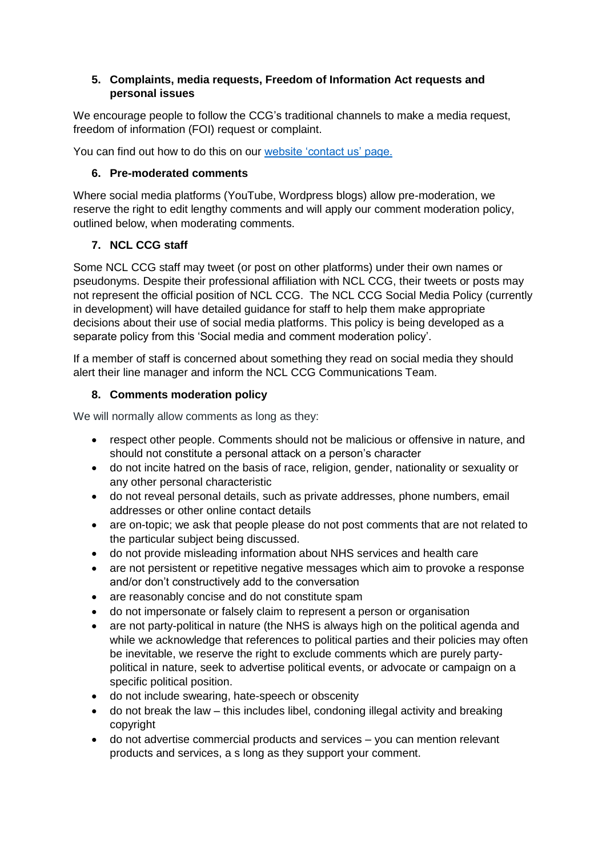#### **5. Complaints, media requests, Freedom of Information Act requests and personal issues**

We encourage people to follow the CCG's traditional channels to make a media request, freedom of information (FOI) request or complaint.

You can find out how to do this on our [website 'contact us' page.](https://northcentrallondonccg.nhs.uk/contact-us/)

#### **6. Pre-moderated comments**

Where social media platforms (YouTube, Wordpress blogs) allow pre-moderation, we reserve the right to edit lengthy comments and will apply our comment moderation policy, outlined below, when moderating comments.

#### **7. NCL CCG staff**

Some NCL CCG staff may tweet (or post on other platforms) under their own names or pseudonyms. Despite their professional affiliation with NCL CCG, their tweets or posts may not represent the official position of NCL CCG. The NCL CCG Social Media Policy (currently in development) will have detailed guidance for staff to help them make appropriate decisions about their use of social media platforms. This policy is being developed as a separate policy from this 'Social media and comment moderation policy'.

If a member of staff is concerned about something they read on social media they should alert their line manager and inform the NCL CCG Communications Team.

### **8. Comments moderation policy**

We will normally allow comments as long as they:

- respect other people. Comments should not be malicious or offensive in nature, and should not constitute a personal attack on a person's character
- do not incite hatred on the basis of race, religion, gender, nationality or sexuality or any other personal characteristic
- do not reveal personal details, such as private addresses, phone numbers, email addresses or other online contact details
- are on-topic; we ask that people please do not post comments that are not related to the particular subject being discussed.
- do not provide misleading information about NHS services and health care
- are not persistent or repetitive negative messages which aim to provoke a response and/or don't constructively add to the conversation
- are reasonably concise and do not constitute spam
- do not impersonate or falsely claim to represent a person or organisation
- are not party-political in nature (the NHS is always high on the political agenda and while we acknowledge that references to political parties and their policies may often be inevitable, we reserve the right to exclude comments which are purely partypolitical in nature, seek to advertise political events, or advocate or campaign on a specific political position.
- do not include swearing, hate-speech or obscenity
- do not break the law this includes libel, condoning illegal activity and breaking copyright
- do not advertise commercial products and services you can mention relevant products and services, a s long as they support your comment.